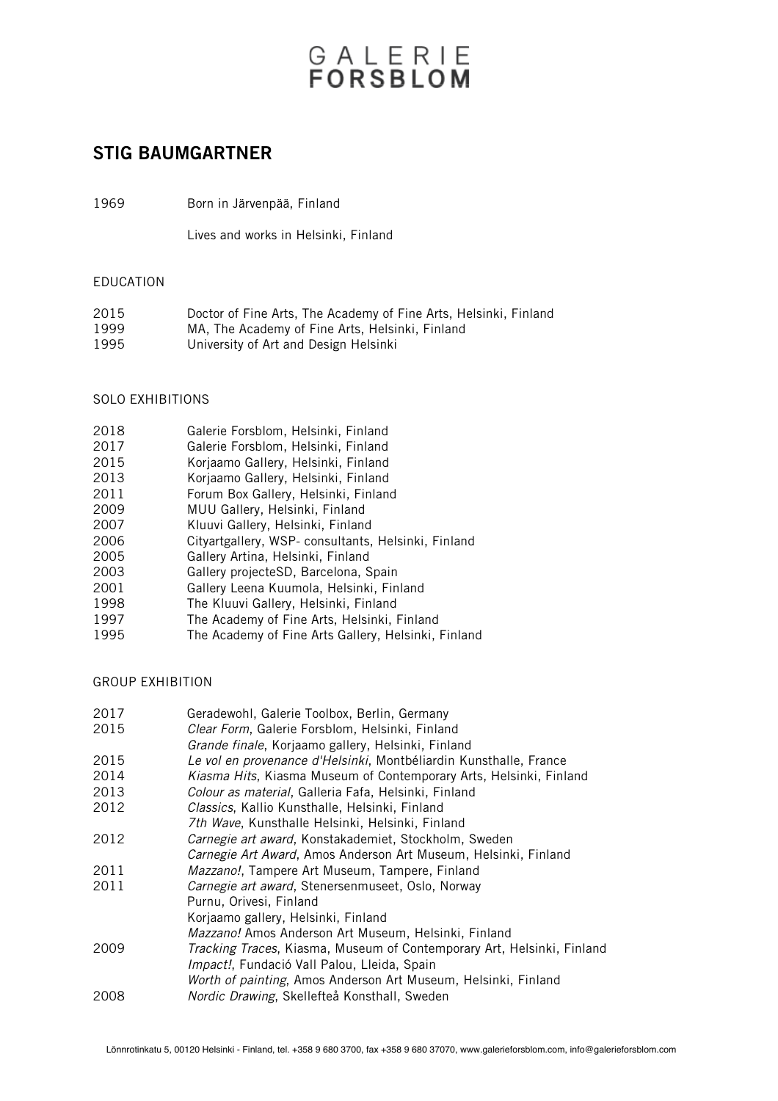# GALERIE<br>FORSBLOM

## STIG BAUMGARTNER

1969 Born in Järvenpää, Finland

Lives and works in Helsinki, Finland

#### EDUCATION

| 2015 | Doctor of Fine Arts, The Academy of Fine Arts, Helsinki, Finland |
|------|------------------------------------------------------------------|
| 1999 | MA. The Academy of Fine Arts. Helsinki, Finland                  |
| 1995 | University of Art and Design Helsinki                            |

### SOLO EXHIBITIONS

| 2018 | Galerie Forsblom, Helsinki, Finland |  |
|------|-------------------------------------|--|
|      |                                     |  |

- 2017 Galerie Forsblom, Helsinki, Finland
- 2015 Korjaamo Gallery, Helsinki, Finland<br>2013 Korjaamo Gallery, Helsinki, Finland
- 2013 Korjaamo Gallery, Helsinki, Finland
- 2011 Forum Box Gallery, Helsinki, Finland<br>2009 MUU Gallery, Helsinki, Finland
- 2009 MUU Gallery, Helsinki, Finland
- 2007 Kluuvi Gallery, Helsinki, Finland<br>2006 Citvartgallery WSP-consultants
- 2006 Cityartgallery, WSP- consultants, Helsinki, Finland<br>2005 Gallery Artina, Helsinki, Finland
- 2005 Gallery Artina, Helsinki, Finland<br>2003 Gallery projecteSD, Barcelona, S
- 2003 Gallery projecteSD, Barcelona, Spain
- 2001 Gallery Leena Kuumola, Helsinki, Finland<br>1998 The Kluuvi Gallery, Helsinki, Finland
- 1998 The Kluuvi Gallery, Helsinki, Finland<br>1997 The Academy of Fine Arts, Helsinki, I
- 1997 The Academy of Fine Arts, Helsinki, Finland<br>1995 The Academy of Fine Arts Gallery, Helsinki.

2017 Geradewohl, Galerie Toolbox, Berlin, Germany

The Academy of Fine Arts Gallery, Helsinki, Finland

### GROUP EXHIBITION

| 2111 | Geragewoni. Galerie Toolbox. Berlin. Germany                           |
|------|------------------------------------------------------------------------|
| 2015 | Clear Form, Galerie Forsblom, Helsinki, Finland                        |
|      | Grande finale, Korjaamo gallery, Helsinki, Finland                     |
| 2015 | Le vol en provenance d'Helsinki, Montbéliardin Kunsthalle, France      |
| 2014 | Kiasma Hits, Kiasma Museum of Contemporary Arts, Helsinki, Finland     |
| 2013 | Colour as material, Galleria Fafa, Helsinki, Finland                   |
| 2012 | Classics, Kallio Kunsthalle, Helsinki, Finland                         |
|      | 7th Wave, Kunsthalle Helsinki, Helsinki, Finland                       |
| 2012 | Carnegie art award, Konstakademiet, Stockholm, Sweden                  |
|      | Carnegie Art Award, Amos Anderson Art Museum, Helsinki, Finland        |
| 2011 | <i>Mazzano!</i> , Tampere Art Museum, Tampere, Finland                 |
| 2011 | Carnegie art award, Stenersenmuseet, Oslo, Norway                      |
|      | Purnu, Orivesi, Finland                                                |
|      | Korjaamo gallery, Helsinki, Finland                                    |
|      | <i>Mazzano!</i> Amos Anderson Art Museum, Helsinki, Finland            |
| 2009 | Tracking Traces, Kiasma, Museum of Contemporary Art, Helsinki, Finland |
|      | Impact!, Fundació Vall Palou, Lleida, Spain                            |
|      | Worth of painting, Amos Anderson Art Museum, Helsinki, Finland         |
| 2008 | Nordic Drawing, Skellefteå Konsthall, Sweden                           |
|      |                                                                        |